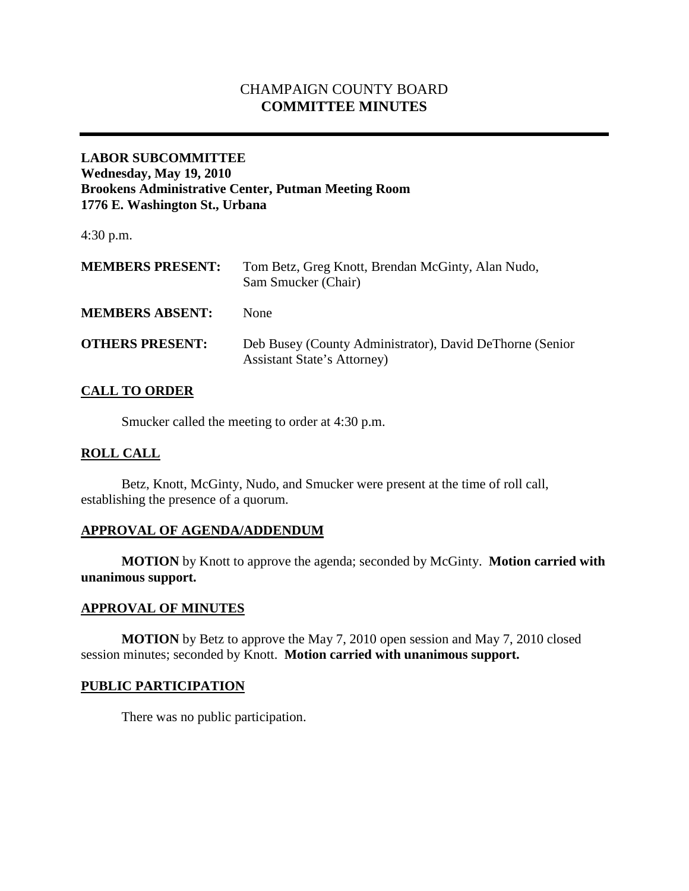# CHAMPAIGN COUNTY BOARD **COMMITTEE MINUTES**

## **LABOR SUBCOMMITTEE Wednesday, May 19, 2010 Brookens Administrative Center, Putman Meeting Room 1776 E. Washington St., Urbana**

4:30 p.m.

| <b>MEMBERS PRESENT:</b> | Tom Betz, Greg Knott, Brendan McGinty, Alan Nudo,<br>Sam Smucker (Chair)                       |
|-------------------------|------------------------------------------------------------------------------------------------|
| <b>MEMBERS ABSENT:</b>  | <b>None</b>                                                                                    |
| <b>OTHERS PRESENT:</b>  | Deb Busey (County Administrator), David DeThorne (Senior<br><b>Assistant State's Attorney)</b> |

### **CALL TO ORDER**

Smucker called the meeting to order at 4:30 p.m.

#### **ROLL CALL**

Betz, Knott, McGinty, Nudo, and Smucker were present at the time of roll call, establishing the presence of a quorum.

### **APPROVAL OF AGENDA/ADDENDUM**

**MOTION** by Knott to approve the agenda; seconded by McGinty. **Motion carried with unanimous support.**

# **APPROVAL OF MINUTES**

**MOTION** by Betz to approve the May 7, 2010 open session and May 7, 2010 closed session minutes; seconded by Knott. **Motion carried with unanimous support.**

## **PUBLIC PARTICIPATION**

There was no public participation.